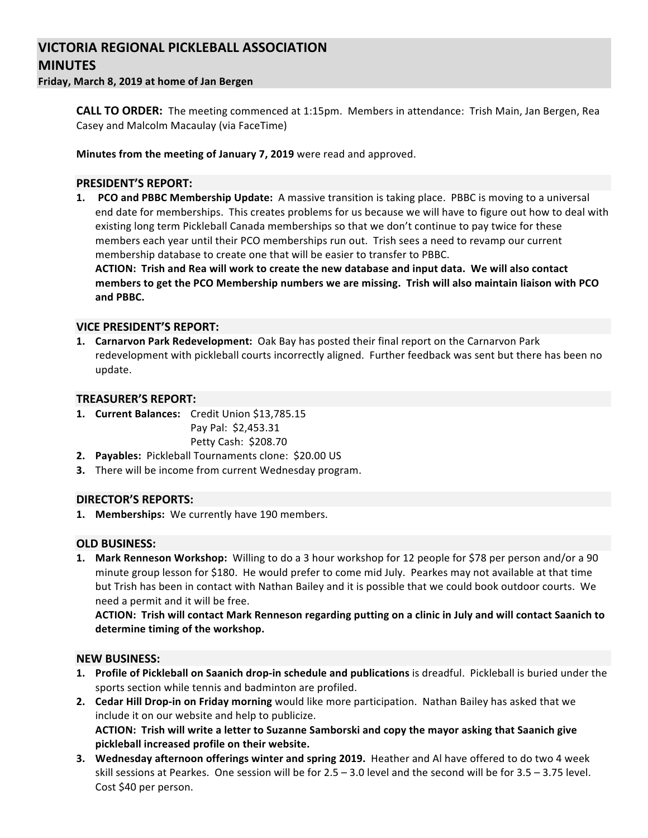# **VICTORIA REGIONAL PICKLEBALL ASSOCIATION MINUTES**

**Friday, March 8, 2019 at home of Jan Bergen**

**CALL TO ORDER:** The meeting commenced at 1:15pm. Members in attendance: Trish Main, Jan Bergen, Rea Casey and Malcolm Macaulay (via FaceTime)

**Minutes from the meeting of January 7, 2019** were read and approved.

## **PRESIDENT'S REPORT:**

**1. PCO** and PBBC Membership Update: A massive transition is taking place. PBBC is moving to a universal end date for memberships. This creates problems for us because we will have to figure out how to deal with existing long term Pickleball Canada memberships so that we don't continue to pay twice for these members each year until their PCO memberships run out. Trish sees a need to revamp our current membership database to create one that will be easier to transfer to PBBC.

ACTION: Trish and Rea will work to create the new database and input data. We will also contact members to get the PCO Membership numbers we are missing. Trish will also maintain liaison with PCO **and PBBC.**

### **VICE PRESIDENT'S REPORT:**

**1. Carnarvon Park Redevelopment:** Oak Bay has posted their final report on the Carnarvon Park redevelopment with pickleball courts incorrectly aligned. Further feedback was sent but there has been no update.

### **TREASURER'S REPORT:**

- 1. **Current Balances:** Credit Union \$13,785.15 Pay Pal: \$2,453.31 Petty Cash: \$208.70
- **2.** Payables: Pickleball Tournaments clone: \$20.00 US
- **3.** There will be income from current Wednesday program.

### **DIRECTOR'S REPORTS:**

1. Memberships: We currently have 190 members.

### **OLD BUSINESS:**

**1.** Mark Renneson Workshop: Willing to do a 3 hour workshop for 12 people for \$78 per person and/or a 90 minute group lesson for \$180. He would prefer to come mid July. Pearkes may not available at that time but Trish has been in contact with Nathan Bailey and it is possible that we could book outdoor courts. We need a permit and it will be free.

ACTION: Trish will contact Mark Renneson regarding putting on a clinic in July and will contact Saanich to determine timing of the workshop.

### **NEW BUSINESS:**

- **1.** Profile of Pickleball on Saanich drop-in schedule and publications is dreadful. Pickleball is buried under the sports section while tennis and badminton are profiled.
- **2. Cedar Hill Drop-in on Friday morning** would like more participation. Nathan Bailey has asked that we include it on our website and help to publicize. ACTION: Trish will write a letter to Suzanne Samborski and copy the mayor asking that Saanich give pickleball increased profile on their website.
- **3.** Wednesday afternoon offerings winter and spring 2019. Heather and Al have offered to do two 4 week skill sessions at Pearkes. One session will be for  $2.5 - 3.0$  level and the second will be for  $3.5 - 3.75$  level. Cost \$40 per person.